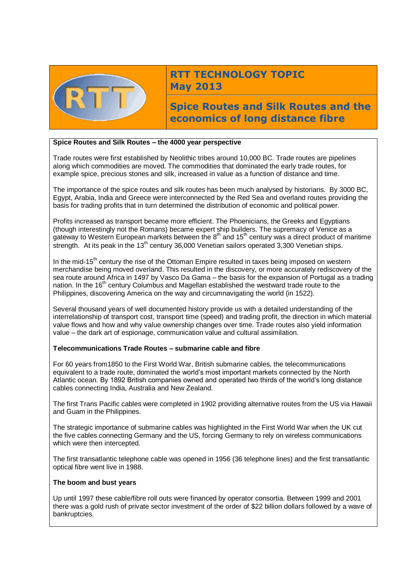

# **RTT TECHNOLOGY TOPIC May 2013**

**Spice Routes and Silk Routes and the economics of long distance fibre**

## **Spice Routes and Silk Routes – the 4000 year perspective**

Trade routes were first established by Neolithic tribes around 10,000 BC. Trade routes are pipelines along which commodities are moved. The commodities that dominated the early trade routes, for example spice, precious stones and silk, increased in value as a function of distance and time.

The importance of the spice routes and silk routes has been much analysed by historians. By 3000 BC, Egypt, Arabia, India and Greece were interconnected by the Red Sea and overland routes providing the basis for trading profits that in turn determined the distribution of economic and political power.

Profits increased as transport became more efficient. The Phoenicians, the Greeks and Egyptians (though interestingly not the Romans) became expert ship builders. The supremacy of Venice as a gateway to Western European markets between the 8<sup>th</sup> and 15<sup>th</sup> century was a direct product of maritime strength. At its peak in the 13<sup>th</sup> century 36,000 Venetian sailors operated 3,300 Venetian ships.

In the mid-15<sup>th</sup> century the rise of the Ottoman Empire resulted in taxes being imposed on western merchandise being moved overland. This resulted in the discovery, or more accurately rediscovery of the sea route around Africa in 1497 by Vasco Da Gama – the basis for the expansion of Portugal as a trading nation. In the 16<sup>th</sup> century Columbus and Magellan established the westward trade route to the Philippines, discovering America on the way and circumnavigating the world (in 1522).

Several thousand years of well documented history provide us with a detailed understanding of the interrelationship of transport cost, transport time (speed) and trading profit, the direction in which material value flows and how and why value ownership changes over time. Trade routes also yield information value – the dark art of espionage, communication value and cultural assimilation.

## **Telecommunications Trade Routes – submarine cable and fibre**

For 60 years from1850 to the First World War, British submarine cables, the telecommunications equivalent to a trade route, dominated the world's most important markets connected by the North Atlantic ocean. By 1892 British companies owned and operated two thirds of the world's long distance cables connecting India, Australia and New Zealand.

The first Trans Pacific cables were completed in 1902 providing alternative routes from the US via Hawaii and Guam in the Philippines.

The strategic importance of submarine cables was highlighted in the First World War when the UK cut the five cables connecting Germany and the US, forcing Germany to rely on wireless communications which were then intercepted.

The first transatlantic telephone cable was opened in 1956 (36 telephone lines) and the first transatlantic optical fibre went live in 1988.

#### **The boom and bust years**

Up until 1997 these cable/fibre roll outs were financed by operator consortia. Between 1999 and 2001 there was a gold rush of private sector investment of the order of \$22 billion dollars followed by a wave of bankruptcies.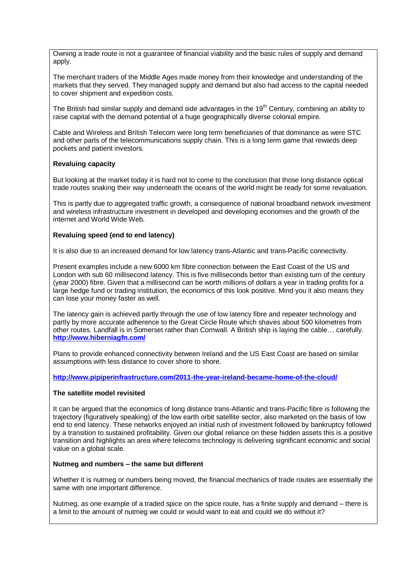Owning a trade route is not a guarantee of financial viability and the basic rules of supply and demand apply.

The merchant traders of the Middle Ages made money from their knowledge and understanding of the markets that they served. They managed supply and demand but also had access to the capital needed to cover shipment and expedition costs.

The British had similar supply and demand side advantages in the 19<sup>th</sup> Century, combining an ability to raise capital with the demand potential of a huge geographically diverse colonial empire.

Cable and Wireless and British Telecom were long term beneficiaries of that dominance as were STC and other parts of the telecommunications supply chain. This is a long term game that rewards deep pockets and patient investors.

## **Revaluing capacity**

But looking at the market today it is hard not to come to the conclusion that those long distance optical trade routes snaking their way underneath the oceans of the world might be ready for some revaluation.

This is partly due to aggregated traffic growth, a consequence of national broadband network investment and wireless infrastructure investment in developed and developing economies and the growth of the internet and World Wide Web.

## **Revaluing speed (end to end latency)**

It is also due to an increased demand for low latency trans-Atlantic and trans-Pacific connectivity.

Present examples include a new 6000 km fibre connection between the East Coast of the US and London with sub 60 millisecond latency. This is five milliseconds better than existing turn of the century (year 2000) fibre. Given that a millisecond can be worth millions of dollars a year in trading profits for a large hedge fund or trading institution, the economics of this look positive. Mind you it also means they can lose your money faster as well.

The latency gain is achieved partly through the use of low latency fibre and repeater technology and partly by more accurate adherence to the Great Circle Route which shaves about 500 kilometres from other routes. Landfall is in Somerset rather than Cornwall. A British ship is laying the cable… carefully. **<http://www.hiberniagfn.com/>**

Plans to provide enhanced connectivity between Ireland and the US East Coast are based on similar assumptions with less distance to cover shore to shore.

**<http://www.pipiperinfrastructure.com/2011-the-year-ireland-became-home-of-the-cloud/>**

#### **The satellite model revisited**

It can be argued that the economics of long distance trans-Atlantic and trans-Pacific fibre is following the trajectory (figuratively speaking) of the low earth orbit satellite sector, also marketed on the basis of low end to end latency. These networks enjoyed an initial rush of investment followed by bankruptcy followed by a transition to sustained profitability. Given our global reliance on these hidden assets this is a positive transition and highlights an area where telecoms technology is delivering significant economic and social value on a global scale.

#### **Nutmeg and numbers – the same but different**

Whether it is nutmeg or numbers being moved, the financial mechanics of trade routes are essentially the same with one important difference.

Nutmeg, as one example of a traded spice on the spice route, has a finite supply and demand – there is a limit to the amount of nutmeg we could or would want to eat and could we do without it?